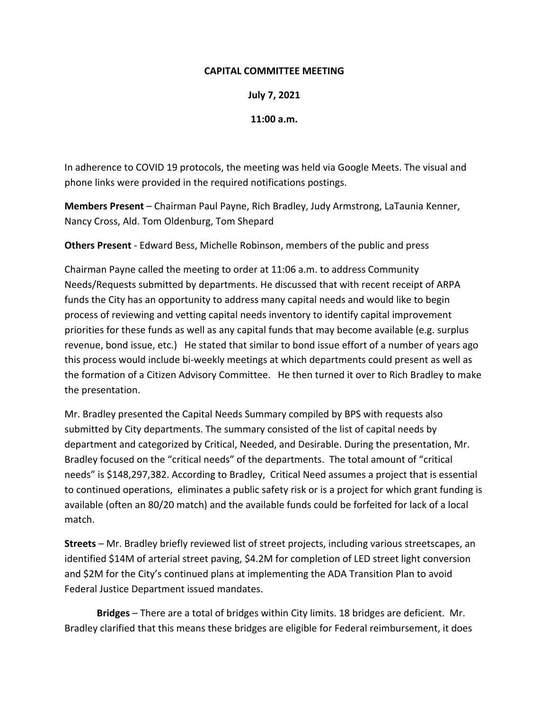## **CAPITAL COMMITTEE MEETING**

**July 7, 2021**

**11:00 a.m.**

In adherence to COVID 19 protocols, the meeting was held via Google Meets. The visual and phone links were provided in the required notifications postings.

**Members Present** – Chairman Paul Payne, Rich Bradley, Judy Armstrong, LaTaunia Kenner, Nancy Cross, Ald. Tom Oldenburg, Tom Shepard

**Others Present** ‐ Edward Bess, Michelle Robinson, members of the public and press

Chairman Payne called the meeting to order at 11:06 a.m. to address Community Needs/Requests submitted by departments. He discussed that with recent receipt of ARPA funds the City has an opportunity to address many capital needs and would like to begin process of reviewing and vetting capital needs inventory to identify capital improvement priorities for these funds as well as any capital funds that may become available (e.g. surplus revenue, bond issue, etc.) He stated that similar to bond issue effort of a number of years ago this process would include bi‐weekly meetings at which departments could present as well as the formation of a Citizen Advisory Committee. He then turned it over to Rich Bradley to make the presentation.

Mr. Bradley presented the Capital Needs Summary compiled by BPS with requests also submitted by City departments. The summary consisted of the list of capital needs by department and categorized by Critical, Needed, and Desirable. During the presentation, Mr. Bradley focused on the "critical needs" of the departments. The total amount of "critical needs" is \$148,297,382. According to Bradley, Critical Need assumes a project that is essential to continued operations, eliminates a public safety risk or is a project for which grant funding is available (often an 80/20 match) and the available funds could be forfeited for lack of a local match.

**Streets** – Mr. Bradley briefly reviewed list of street projects, including various streetscapes, an identified \$14M of arterial street paving, \$4.2M for completion of LED street light conversion and \$2M for the City's continued plans at implementing the ADA Transition Plan to avoid Federal Justice Department issued mandates.

**Bridges** – There are a total of bridges within City limits. 18 bridges are deficient. Mr. Bradley clarified that this means these bridges are eligible for Federal reimbursement, it does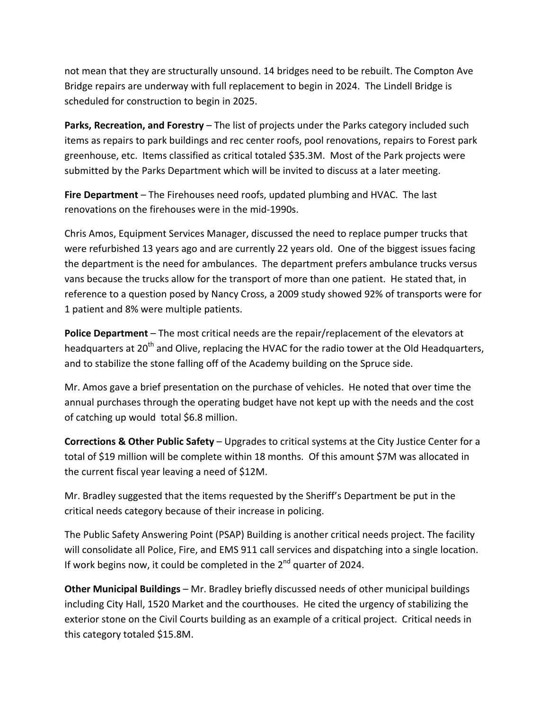not mean that they are structurally unsound. 14 bridges need to be rebuilt. The Compton Ave Bridge repairs are underway with full replacement to begin in 2024. The Lindell Bridge is scheduled for construction to begin in 2025.

**Parks, Recreation, and Forestry** – The list of projects under the Parks category included such items as repairs to park buildings and rec center roofs, pool renovations, repairs to Forest park greenhouse, etc. Items classified as critical totaled \$35.3M. Most of the Park projects were submitted by the Parks Department which will be invited to discuss at a later meeting.

**Fire Department** – The Firehouses need roofs, updated plumbing and HVAC. The last renovations on the firehouses were in the mid‐1990s.

Chris Amos, Equipment Services Manager, discussed the need to replace pumper trucks that were refurbished 13 years ago and are currently 22 years old. One of the biggest issues facing the department is the need for ambulances. The department prefers ambulance trucks versus vans because the trucks allow for the transport of more than one patient. He stated that, in reference to a question posed by Nancy Cross, a 2009 study showed 92% of transports were for 1 patient and 8% were multiple patients.

**Police Department** – The most critical needs are the repair/replacement of the elevators at headquarters at 20<sup>th</sup> and Olive, replacing the HVAC for the radio tower at the Old Headquarters, and to stabilize the stone falling off of the Academy building on the Spruce side.

Mr. Amos gave a brief presentation on the purchase of vehicles. He noted that over time the annual purchases through the operating budget have not kept up with the needs and the cost of catching up would total \$6.8 million.

**Corrections & Other Public Safety** – Upgrades to critical systems at the City Justice Center for a total of \$19 million will be complete within 18 months. Of this amount \$7M was allocated in the current fiscal year leaving a need of \$12M.

Mr. Bradley suggested that the items requested by the Sheriff's Department be put in the critical needs category because of their increase in policing.

The Public Safety Answering Point (PSAP) Building is another critical needs project. The facility will consolidate all Police, Fire, and EMS 911 call services and dispatching into a single location. If work begins now, it could be completed in the  $2^{nd}$  quarter of 2024.

**Other Municipal Buildings** – Mr. Bradley briefly discussed needs of other municipal buildings including City Hall, 1520 Market and the courthouses. He cited the urgency of stabilizing the exterior stone on the Civil Courts building as an example of a critical project. Critical needs in this category totaled \$15.8M.